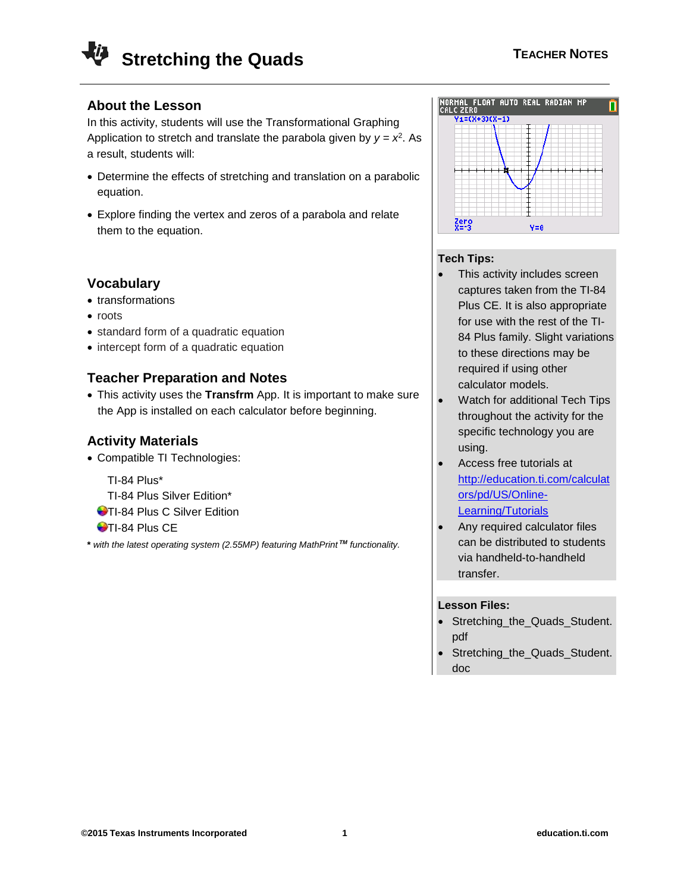

# **About the Lesson**

In this activity, students will use the Transformational Graphing Application to stretch and translate the parabola given by  $y = x^2$ . As a result, students will:

- Determine the effects of stretching and translation on a parabolic equation.
- Explore finding the vertex and zeros of a parabola and relate them to the equation.

# **Vocabulary**

- transformations
- roots
- standard form of a quadratic equation
- intercept form of a quadratic equation

## **Teacher Preparation and Notes**

• This activity uses the **Transfrm** App. It is important to make sure the App is installed on each calculator before beginning.

# **Activity Materials**

• Compatible TI Technologies:

TI-84 Plus\*

- TI-84 Plus Silver Edition\*
- **OTI-84 Plus C Silver Edition**
- **OTI-84 Plus CE**

**\*** *with the latest operating system (2.55MP) featuring MathPrint TM functionality.*



#### **Tech Tips:**

- This activity includes screen captures taken from the TI-84 Plus CE. It is also appropriate for use with the rest of the TI-84 Plus family. Slight variations to these directions may be required if using other calculator models.
- Watch for additional Tech Tips throughout the activity for the specific technology you are using.
- Access free tutorials at [http://education.ti.com/calculat](http://education.ti.com/calculators/pd/US/Online-Learning/Tutorials) [ors/pd/US/Online-](http://education.ti.com/calculators/pd/US/Online-Learning/Tutorials)**[Learning/Tutorials](http://education.ti.com/calculators/pd/US/Online-Learning/Tutorials)**
- Any required calculator files can be distributed to students via handheld-to-handheld transfer.

### **Lesson Files:**

- Stretching the Quads Student. pdf
- Stretching the Quads Student. doc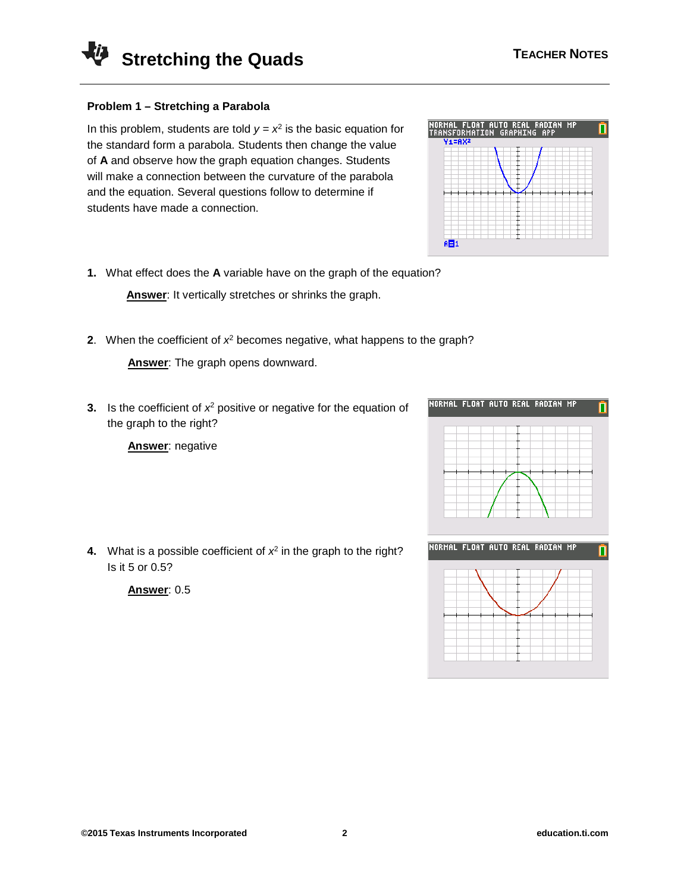



## **Problem 1 – Stretching a Parabola**

In this problem, students are told  $y = x^2$  is the basic equation for the standard form a parabola. Students then change the value of **A** and observe how the graph equation changes. Students will make a connection between the curvature of the parabola and the equation. Several questions follow to determine if students have made a connection.

**1.** What effect does the **A** variable have on the graph of the equation?

**Answer**: It vertically stretches or shrinks the graph.

**2**. When the coefficient of  $x^2$  becomes negative, what happens to the graph?

**Answer**: The graph opens downward.

**3.** Is the coefficient of  $x^2$  positive or negative for the equation of the graph to the right?

**Answer**: negative

**4.** What is a possible coefficient of  $x^2$  in the graph to the right? Is it 5 or 0.5?

**Answer**: 0.5



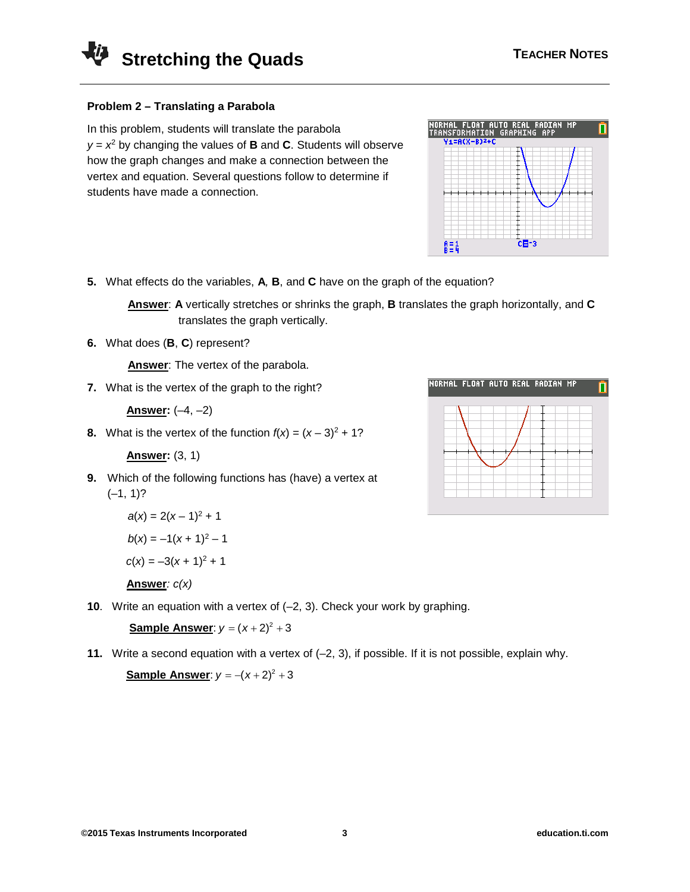



## **Problem 2 – Translating a Parabola**

In this problem, students will translate the parabola  $y = x^2$  by changing the values of **B** and **C**. Students will observe how the graph changes and make a connection between the vertex and equation. Several questions follow to determine if students have made a connection.



**5.** What effects do the variables, **A***,* **B**, and **C** have on the graph of the equation?

**Answer**: **A** vertically stretches or shrinks the graph, **B** translates the graph horizontally, and **C** translates the graph vertically.

**6.** What does (**B**, **C**) represent?

**Answer**: The vertex of the parabola.

**7.** What is the vertex of the graph to the right?

 **Answer:** (–4, –2)

**8.** What is the vertex of the function 
$$
f(x) = (x-3)^2 + 1
$$
?

 **Answer:** (3, 1)

**9.** Which of the following functions has (have) a vertex at  $(-1, 1)?$ 

$$
a(x) = 2(x - 1)2 + 1
$$
  

$$
b(x) = -1(x + 1)2 - 1
$$
  

$$
c(x) = -3(x + 1)2 + 1
$$

**Answer***: c(x)*

**10**. Write an equation with a vertex of (–2, 3). Check your work by graphing.

**Sample Answer**:  $y = (x + 2)^2 + 3$ 

**11.** Write a second equation with a vertex of (–2, 3), if possible. If it is not possible, explain why.

**Sample Answer:** 
$$
y = -(x+2)^2 + 3
$$

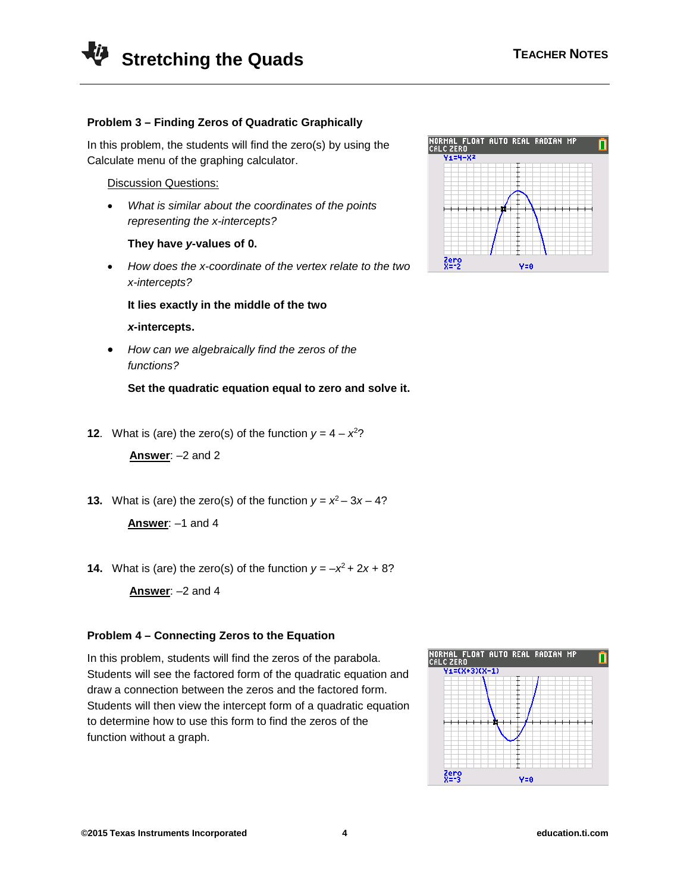



## **Problem 3 – Finding Zeros of Quadratic Graphically**

In this problem, the students will find the zero(s) by using the Calculate menu of the graphing calculator.

Discussion Questions:

• *What is similar about the coordinates of the points representing the x-intercepts?*

**They have** *y***-values of 0.**

• *How does the x-coordinate of the vertex relate to the two x-intercepts?*

**It lies exactly in the middle of the two** 

#### *x***-intercepts.**

• *How can we algebraically find the zeros of the functions?*

**Set the quadratic equation equal to zero and solve it.**

**12.** What is (are) the zero(s) of the function  $y = 4 - x^2$ ?

 **Answer**: –2 and 2

**13.** What is (are) the zero(s) of the function  $y = x^2 - 3x - 4$ ?

**Answer**: –1 and 4

**14.** What is (are) the zero(s) of the function  $y = -x^2 + 2x + 8$ ?

 **Answer**: –2 and 4

### **Problem 4 – Connecting Zeros to the Equation**

In this problem, students will find the zeros of the parabola. Students will see the factored form of the quadratic equation and draw a connection between the zeros and the factored form. Students will then view the intercept form of a quadratic equation to determine how to use this form to find the zeros of the function without a graph.